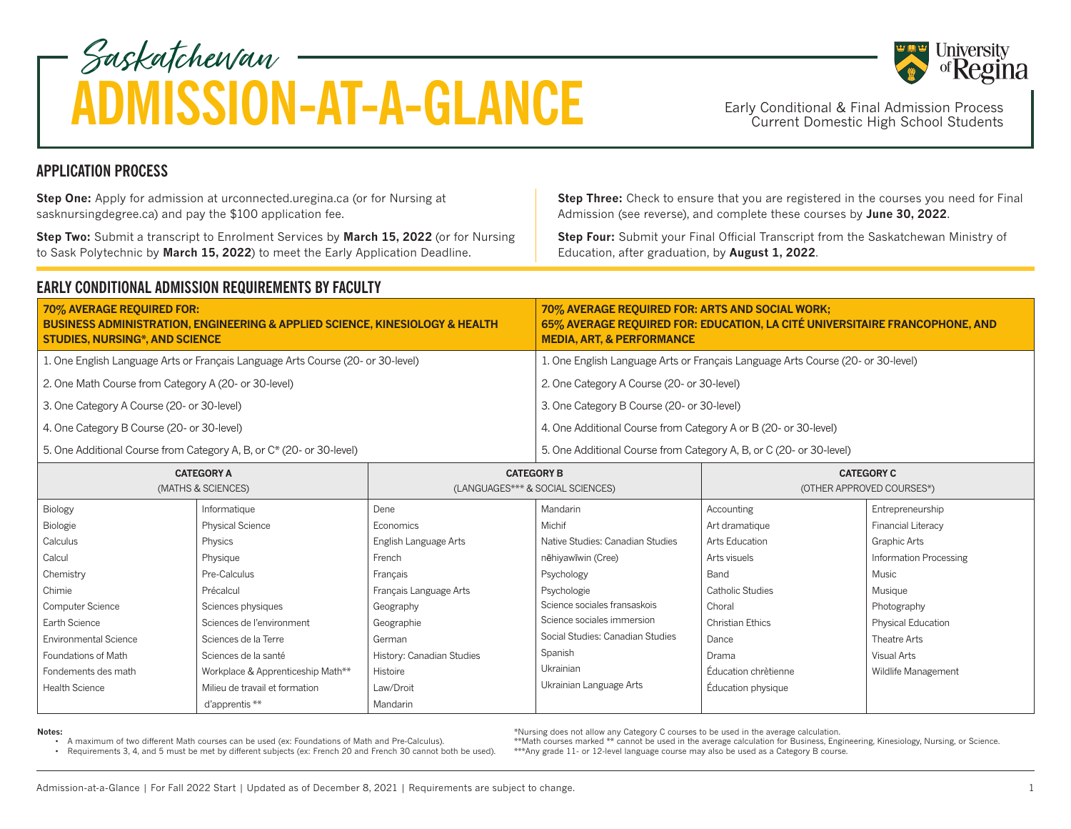## Saskatchewan ADMISSION-AT-A-GLANCE Early Conditional & Final Admission Process

Early Conditional & Final Admission Process<br>Current Domestic High School Students

**Step Three:** Check to ensure that you are registered in the courses you need for Final Admission (see reverse), and complete these courses by **June 30, 2022**. **Step One:** Apply for admission at urconnected.uregina.ca (or for Nursing at sasknursingdegree.ca) and pay the \$100 application fee.

**Step Two:** Submit a transcript to Enrolment Services by **March 15, 2022** (or for Nursing to Sask Polytechnic by **March 15, 2022**) to meet the Early Application Deadline.

**Step Four:** Submit your Final Official Transcript from the Saskatchewan Ministry of Education, after graduation, by **August 1, 2022**.

## **EARLY CONDITIONAL ADMISSION REQUIREMENTS BY FACULTY**

| 70% AVERAGE REQUIRED FOR:<br><b>BUSINESS ADMINISTRATION, ENGINEERING &amp; APPLIED SCIENCE, KINESIOLOGY &amp; HEALTH</b><br><b>STUDIES, NURSING*, AND SCIENCE</b> | 70% AVERAGE REQUIRED FOR: ARTS AND SOCIAL WORK;<br>65% AVERAGE REQUIRED FOR: EDUCATION, LA CITÉ UNIVERSITAIRE FRANCOPHONE, AND<br><b>MEDIA, ART, &amp; PERFORMANCE</b> |
|-------------------------------------------------------------------------------------------------------------------------------------------------------------------|------------------------------------------------------------------------------------------------------------------------------------------------------------------------|
| 1. One English Language Arts or Français Language Arts Course (20- or 30-level)                                                                                   | 1. One English Language Arts or Français Language Arts Course (20- or 30-level)                                                                                        |
| 2. One Math Course from Category A (20- or 30-level)                                                                                                              | 2. One Category A Course (20- or 30-level)                                                                                                                             |
| 3. One Category A Course (20- or 30-level)                                                                                                                        | 3. One Category B Course (20- or 30-level)                                                                                                                             |
| 4. One Category B Course (20- or 30-level)                                                                                                                        | 4. One Additional Course from Category A or B (20- or 30-level)                                                                                                        |
| 5. One Additional Course from Category A, B, or C* (20- or 30-level)                                                                                              | 5. One Additional Course from Category A, B, or C (20- or 30-level)                                                                                                    |

| <b>CATEGORY A</b><br>(MATHS & SCIENCES) |                                   | <b>CATEGORY B</b><br>(LANGUAGES*** & SOCIAL SCIENCES) |                                  | <b>CATEGORY C</b><br>(OTHER APPROVED COURSES*) |                           |
|-----------------------------------------|-----------------------------------|-------------------------------------------------------|----------------------------------|------------------------------------------------|---------------------------|
| Biology                                 | Informatique                      | Dene                                                  | Mandarin                         | Accounting                                     | Entrepreneurship          |
| Biologie                                | <b>Physical Science</b>           | Economics                                             | Michif                           | Art dramatique                                 | <b>Financial Literacy</b> |
| Calculus                                | Physics                           | English Language Arts                                 | Native Studies: Canadian Studies | Arts Education                                 | Graphic Arts              |
| Calcul                                  | Physique                          | French                                                | nēhiyawīwin (Cree)               | Arts visuels                                   | Information Processing    |
| Chemistry                               | Pre-Calculus                      | Francais                                              | Psychology                       | Band                                           | Music                     |
| Chimie                                  | Précalcul                         | Français Language Arts                                | Psychologie                      | Catholic Studies                               | Musique                   |
| Computer Science                        | Sciences physiques                | Geography                                             | Science sociales fransaskois     | Choral                                         | Photography               |
| Earth Science                           | Sciences de l'environment         | Geographie                                            | Science sociales immersion       | <b>Christian Ethics</b>                        | <b>Physical Education</b> |
| <b>Environmental Science</b>            | Sciences de la Terre              | German                                                | Social Studies: Canadian Studies | Dance                                          | Theatre Arts              |
| Foundations of Math                     | Sciences de la santé              | History: Canadian Studies                             | Spanish                          | Drama                                          | Visual Arts               |
| Fondements des math                     | Workplace & Apprenticeship Math** | Histoire                                              | <b>Ukrainian</b>                 | Éducation chrètienne                           | Wildlife Management       |
| <b>Health Science</b>                   | Milieu de travail et formation    | Law/Droit                                             | Ukrainian Language Arts          | Éducation physique                             |                           |
|                                         | d'apprentis **                    | Mandarin                                              |                                  |                                                |                           |

**Notes:**

• A maximum of two different Math courses can be used (ex: Foundations of Math and Pre-Calculus).

• Requirements 3, 4, and 5 must be met by different subjects (ex: French 20 and French 30 cannot both be used).

\*Nursing does not allow any Category C courses to be used in the average calculation.

\*\*Math courses marked \*\* cannot be used in the average calculation for Business, Engineering, Kinesiology, Nursing, or Science. \*\*\*Any grade 11- or 12-level language course may also be used as a Category B course.